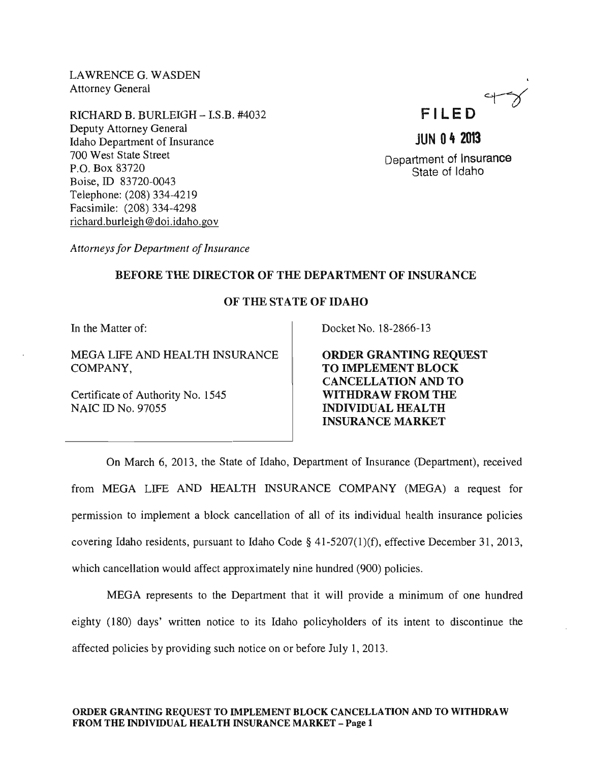LAWRENCE G. WASDEN Attorney General

RICHARD B. BURLEIGH - I.S.B. #4032 Deputy Attorney General Idaho Department of Insurance 700 West State Street P.O. Box 83720 Boise, ID 83720-0043 Telephone: (208) 334-4219 Facsimile: (208) 334-4298 richard.burleigh@doi.idaho.gov



# **JUN 04 2013**

Department of Insurance State of Idaho

*Attorneys for Department of Insurance* 

## BEFORE THE DIRECTOR OF THE DEPARTMENT OF INSURANCE

## OF THE STATE OF IDAHO

In the Matter of:

MEGA LIFE AND HEALTH INSURANCE COMPANY,

Certificate of Authority No. 1545 NAIC ID No. 97055

Docket No. 18-2866-13

ORDER GRANTING REQUEST TO IMPLEMENT BLOCK CANCELLATION AND TO WITHDRAW FROM THE INDIVIDUAL HEALTH INSURANCE MARKET

On March 6, 2013, the State of Idaho, Department of Insurance (Department), received from MEGA LIFE AND HEALTH INSURANCE COMPANY (MEGA) a request for permission to implement a block cancellation of all of its individual health insurance policies covering Idaho residents, pursuant to Idaho Code  $\S$  41-5207(1)(f), effective December 31, 2013, which cancellation would affect approximately nine hundred (900) policies.

MEGA represents to the Department that it will provide a minimum of one hundred eighty (180) days' written notice to its Idaho policyholders of its intent to discontinue the affected policies by providing such notice on or before July 1,2013.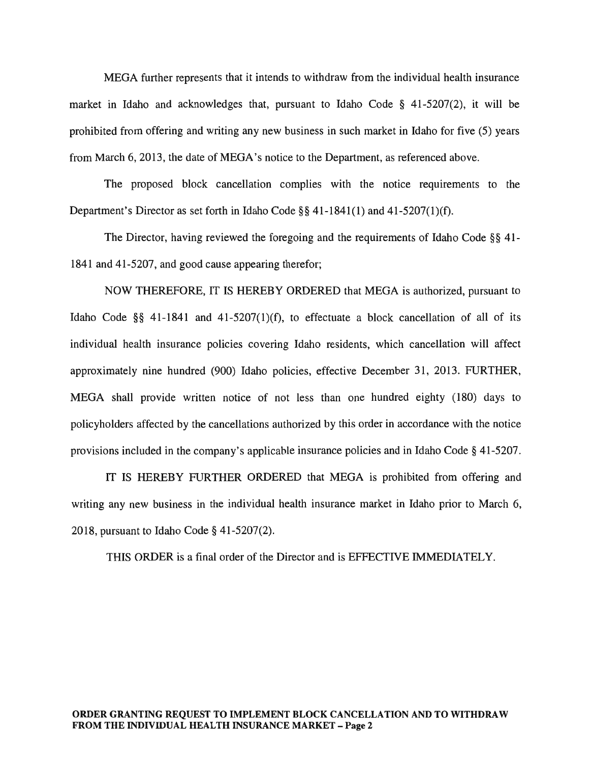MEGA further represents that it intends to withdraw from the individual health insurance market in Idaho and acknowledges that, pursuant to Idaho Code § 41-5207(2), it will be prohibited from offering and writing any new business in such market in Idaho for five (5) years from March 6, 2013, the date of MEGA's notice to the Department, as referenced above.

The proposed block cancellation complies with the notice requirements to the Department's Director as set forth in Idaho Code §§ 41-1841(1) and 41-5207(1)(f).

The Director, having reviewed the foregoing and the requirements of Idaho Code §§ 41- 1841 and 41-5207, and good cause appearing therefor;

NOW THEREFORE, IT IS HEREBY ORDERED that MEGA is authorized, pursuant to Idaho Code §§ 41-1841 and 41-5207(1)(f), to effectuate a block cancellation of all of its individual health insurance policies covering Idaho residents, which cancellation will affect approximately nine hundred (900) Idaho policies, effective December 31, 2013. FURTHER, MEGA shall provide written notice of not less than one hundred eighty (180) days to policyholders affected by the cancellations authorized by this order in accordance with the notice provisions included in the company's applicable insurance policies and in Idaho Code § 41-5207.

IT IS HEREBY FURTHER ORDERED that MEGA is prohibited from offering and writing any new business in the individual health insurance market in Idaho prior to March 6, 2018, pursuant to Idaho Code § 41-5207(2).

THIS ORDER is a final order of the Director and is EFFECTIVE IMMEDIATELY.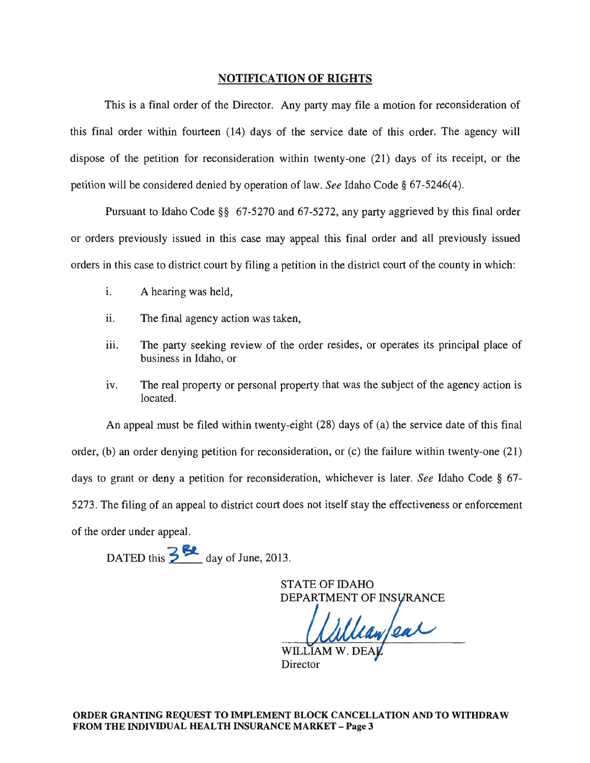#### NOTIFICATION OF RIGHTS

This is a final order of the Director. Any party may file a motion for reconsideration of this final order within fourteen (14) days of the service date of this order. The agency will dispose of the petition for reconsideration within twenty-one (21) days of its receipt, or the petition will be considered denied by operation of law. *See* Idaho Code § 67-5246(4).

Pursuant to Idaho Code §§ 67-5270 and 67-5272, any party aggrieved by this final order or orders previously issued in this case may appeal this final order and all previously issued orders in this case to district court by filing a petition in the district court of the county in which:

- i. A hearing was held,
- ii. The final agency action was taken,
- iii. The party seeking review of the order resides, or operates its principal place of business in Idaho, or
- iv. The real property or personal property that was the subject of the agency action is located.

An appeal must be filed within twenty-eight (28) days of (a) the service date of this final order, (b) an order denying petition for reconsideration, or (c) the failure within twenty-one (21) days to grant or deny a petition for reconsideration, whichever is later. *See* Idaho Code § 67- 5273. The filing of an appeal to district court does not itself stay the effectiveness or enforcement of the order under appeal.

DATED this  $\frac{3}{5}$  **day** of June, 2013.

STATE OF IDAHO DEPARTMENT OF INSURANCE

lean ear

Director